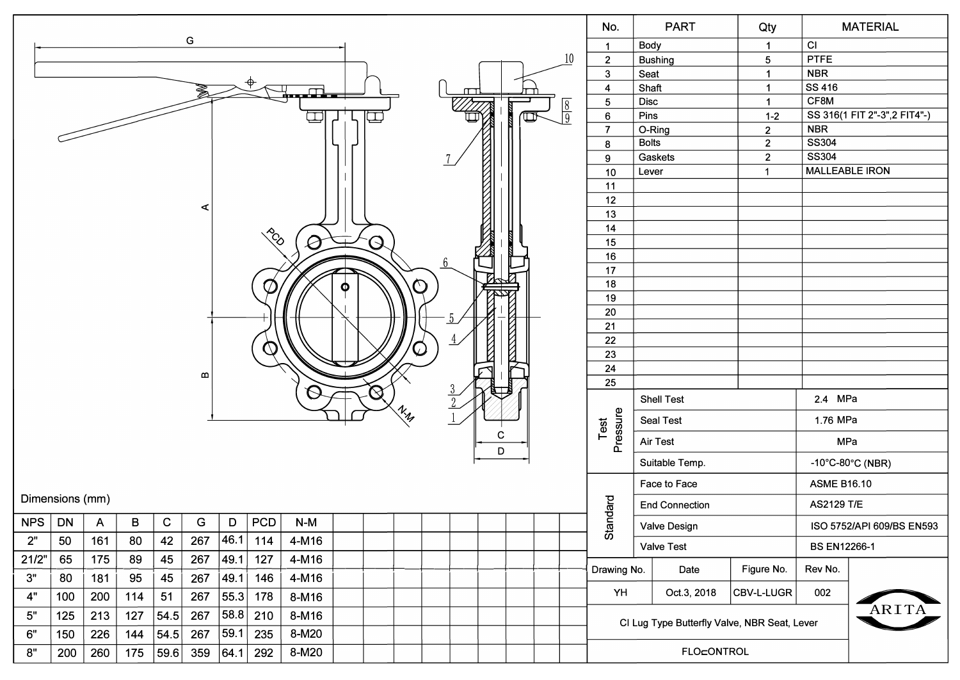|        |                          |              |                 |             |              |      |             |               |   |                  |                                 |  |  |                |                |              | No.            |                                              | <b>PART</b>                  | Qty            |                     | <b>MATERIAL</b>           |  |  |  |
|--------|--------------------------|--------------|-----------------|-------------|--------------|------|-------------|---------------|---|------------------|---------------------------------|--|--|----------------|----------------|--------------|----------------|----------------------------------------------|------------------------------|----------------|---------------------|---------------------------|--|--|--|
|        | G<br>10                  |              |                 |             |              |      |             |               |   |                  |                                 |  |  |                |                | $\mathbf{1}$ |                | Body<br>$\mathbf{1}$                         |                              | CI             |                     |                           |  |  |  |
|        |                          |              |                 |             |              |      |             |               |   |                  |                                 |  |  |                | $\overline{2}$ |              | <b>Bushing</b> | $5\phantom{.0}$                              | <b>PTFE</b>                  |                |                     |                           |  |  |  |
|        |                          |              |                 |             |              |      |             |               |   |                  |                                 |  |  |                | $\mathbf{3}$   | Seat         |                | $\mathbf{1}$                                 | <b>NBR</b>                   |                |                     |                           |  |  |  |
|        | ▟▄▄▄█▙▖<br>$\frac{8}{9}$ |              |                 |             |              |      |             |               |   |                  |                                 |  |  | $\overline{4}$ | Shaft          |              | $\mathbf 1$    | <b>SS 416</b>                                |                              |                |                     |                           |  |  |  |
|        |                          |              |                 |             |              |      |             |               |   |                  |                                 |  |  | $\sqrt{5}$     | Disc           |              | $\mathbf{1}$   | CF8M                                         |                              |                |                     |                           |  |  |  |
|        |                          |              |                 |             |              |      |             |               |   |                  |                                 |  |  | 6              | Pins           |              | $1 - 2$        |                                              | SS 316(1 FIT 2"-3",2 FIT4"-) |                |                     |                           |  |  |  |
|        |                          |              |                 |             |              |      |             |               |   |                  |                                 |  |  |                |                |              | $\overline{7}$ | O-Ring                                       |                              | $\overline{2}$ | <b>NBR</b>          |                           |  |  |  |
|        |                          |              |                 |             |              |      |             |               |   |                  |                                 |  |  |                |                |              | 8              | <b>Bolts</b>                                 |                              | $\mathbf{2}$   | SS304               |                           |  |  |  |
|        |                          |              |                 |             |              |      |             |               |   |                  |                                 |  |  |                |                |              | 9              |                                              | Gaskets                      | $\overline{2}$ | SS304               |                           |  |  |  |
|        |                          |              |                 |             |              |      |             |               |   |                  |                                 |  |  |                |                |              | 10             | Lever                                        |                              | $\mathbf{1}$   |                     | <b>MALLEABLE IRON</b>     |  |  |  |
|        |                          |              |                 |             |              |      |             |               |   |                  |                                 |  |  |                |                |              | 11             |                                              |                              |                |                     |                           |  |  |  |
|        |                          |              |                 |             |              |      |             |               |   |                  |                                 |  |  |                |                |              | 12             |                                              |                              |                |                     |                           |  |  |  |
|        |                          |              |                 |             | ∢            |      |             |               |   |                  |                                 |  |  |                |                |              | 13             |                                              |                              |                |                     |                           |  |  |  |
|        |                          |              |                 |             |              |      |             |               |   |                  |                                 |  |  |                |                |              | 14             |                                              |                              |                |                     |                           |  |  |  |
|        |                          |              |                 |             |              |      | ECC         | $\varnothing$ |   | $\mathcal{S}$    |                                 |  |  |                |                |              | 15             |                                              |                              |                |                     |                           |  |  |  |
|        |                          |              |                 |             |              |      |             |               |   |                  |                                 |  |  |                |                |              | 16             |                                              |                              |                |                     |                           |  |  |  |
|        |                          |              |                 |             |              |      |             |               |   |                  |                                 |  |  |                |                |              | 17             |                                              |                              |                |                     |                           |  |  |  |
|        |                          |              |                 |             |              |      | $\varphi$   |               | Φ |                  | Ω,                              |  |  |                |                |              | 18             |                                              |                              |                |                     |                           |  |  |  |
|        |                          |              |                 |             |              |      |             |               |   |                  |                                 |  |  |                |                |              | 19             |                                              |                              |                |                     |                           |  |  |  |
|        |                          |              |                 |             |              |      |             |               |   |                  |                                 |  |  |                |                |              | 20             |                                              |                              |                |                     |                           |  |  |  |
|        |                          |              |                 |             |              |      |             |               |   |                  |                                 |  |  |                |                |              | 21             |                                              |                              |                |                     |                           |  |  |  |
|        |                          |              |                 |             |              |      | $\cup$      |               |   |                  |                                 |  |  |                |                |              | 22             |                                              |                              |                |                     |                           |  |  |  |
|        |                          |              |                 |             |              |      |             |               |   |                  |                                 |  |  |                |                |              | 23             |                                              |                              |                |                     |                           |  |  |  |
|        |                          |              |                 |             | $\mathbf{m}$ |      |             |               |   |                  |                                 |  |  |                |                |              | 24             |                                              |                              |                |                     |                           |  |  |  |
|        |                          |              |                 |             |              |      |             |               |   | $\bm{\varOmega}$ |                                 |  |  |                |                |              | 25             |                                              |                              |                |                     |                           |  |  |  |
|        |                          |              |                 |             |              |      |             |               |   |                  | $\mathcal{U}_{\mathcal{U}_{p}}$ |  |  |                |                |              |                |                                              | <b>Shell Test</b>            |                | 2.4 MPa             |                           |  |  |  |
|        |                          |              |                 |             |              |      |             |               |   |                  |                                 |  |  |                |                |              | Test           |                                              | <b>Seal Test</b>             |                | 1.76 MPa            |                           |  |  |  |
|        |                          |              |                 |             |              |      |             |               |   |                  |                                 |  |  | С<br>D         |                |              | Pressure       |                                              | Air Test                     |                |                     | MPa                       |  |  |  |
|        |                          |              |                 |             |              |      |             |               |   |                  |                                 |  |  |                | Suitable Temp. |              |                | $-10^{\circ}$ C-80 $^{\circ}$ C (NBR)        |                              |                |                     |                           |  |  |  |
|        |                          |              |                 |             |              |      |             |               |   |                  |                                 |  |  |                |                |              |                |                                              | Face to Face                 |                | <b>ASME B16.10</b>  |                           |  |  |  |
|        | Dimensions (mm)          |              |                 |             |              |      |             |               |   |                  |                                 |  |  |                |                |              | ndard          |                                              | <b>End Connection</b>        |                | <b>AS2129 T/E</b>   |                           |  |  |  |
| NPS DN |                          | $\mathsf{A}$ | $\, {\bf B} \,$ | $\mathbf C$ | G            | D    | $ $ PCD $ $ | $N-M$         |   |                  |                                 |  |  |                |                |              | <b>Sta</b>     |                                              | Valve Design                 |                |                     | ISO 5752/API 609/BS EN593 |  |  |  |
| 2"     | 50                       | 161          | 80              | 42          | 267          | 46.1 | 114         | 4-M16         |   |                  |                                 |  |  |                |                |              |                |                                              | <b>Valve Test</b>            |                | <b>BS EN12266-1</b> |                           |  |  |  |
| 21/2"  | 65                       | 175          | 89              | 45          | 267          | 49.1 | 127         | 4-M16         |   |                  |                                 |  |  |                |                |              | Drawing No.    |                                              | Date                         | Figure No.     | Rev No.             |                           |  |  |  |
| 3"     | 80                       | 181          | 95              | 45          | 267          | 49.1 | 146         | 4-M16         |   |                  |                                 |  |  |                |                |              |                |                                              |                              |                |                     |                           |  |  |  |
| 4"     | 100                      | 200          | 114             | 51          | 267          | 55.3 | 178         | 8-M16         |   |                  |                                 |  |  |                |                |              | YH             |                                              | Oct.3, 2018                  | CBV-L-LUGR     | 002                 | ARITA                     |  |  |  |
| 5"     | 125                      | 213          | 127             | 54.5        | 267          | 58.8 | 210         | 8-M16         |   |                  |                                 |  |  |                |                |              |                | CI Lug Type Butterfly Valve, NBR Seat, Lever |                              |                |                     |                           |  |  |  |
| 6"     | 150                      | 226          | 144             | 54.5        | 267          | 59.1 | 235         | 8-M20         |   |                  |                                 |  |  |                |                |              |                |                                              |                              |                |                     |                           |  |  |  |
| 8"     | 200                      | 260          | 175             | 59.6        | 359          | 64.1 | 292         | 8-M20         |   |                  |                                 |  |  |                |                |              | FLO=ONTROL     |                                              |                              |                |                     |                           |  |  |  |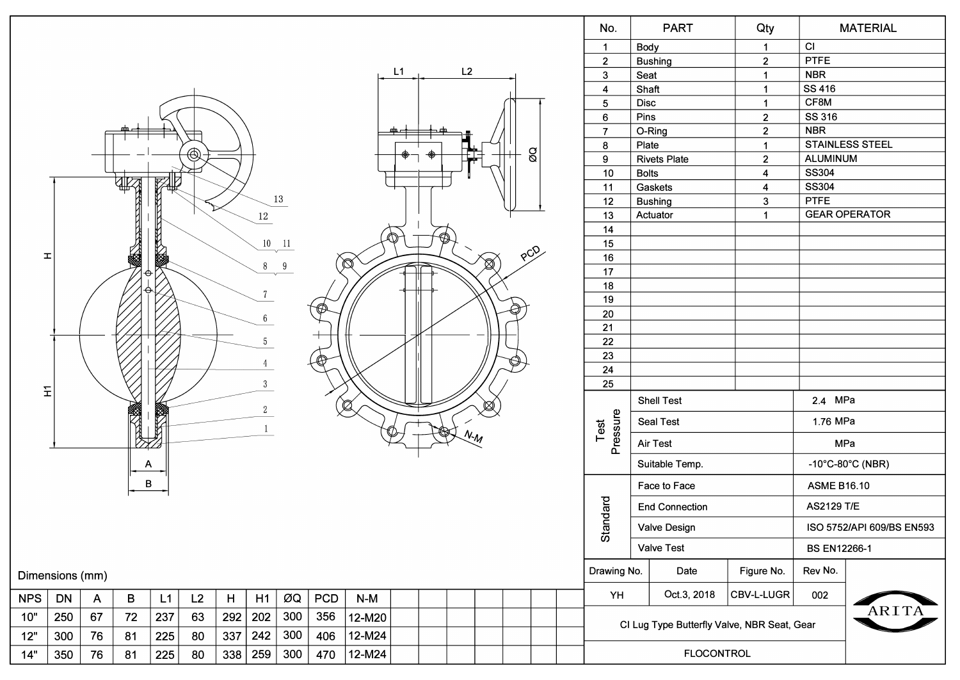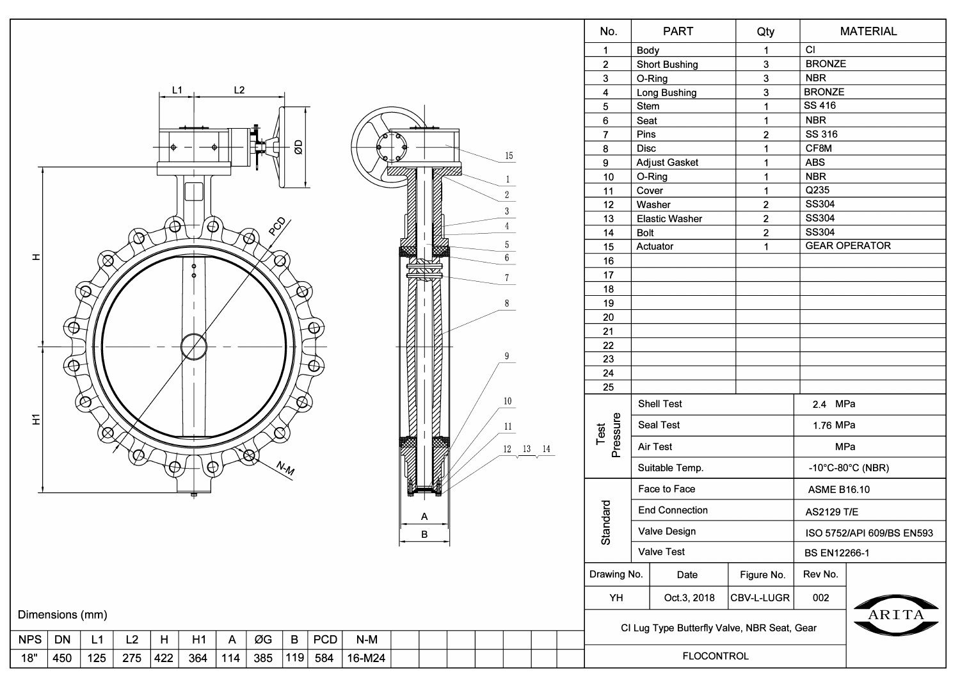|            |                                                                                                                                              |              |     |          |          |                |                               |                   |            |        |                                                |             |  |                                             |                      |                 | No.               |                                          | <b>PART</b>           | Qty                  |                     | <b>MATERIAL</b>                       |  |
|------------|----------------------------------------------------------------------------------------------------------------------------------------------|--------------|-----|----------|----------|----------------|-------------------------------|-------------------|------------|--------|------------------------------------------------|-------------|--|---------------------------------------------|----------------------|-----------------|-------------------|------------------------------------------|-----------------------|----------------------|---------------------|---------------------------------------|--|
|            |                                                                                                                                              |              |     |          |          |                |                               |                   |            |        |                                                |             |  |                                             |                      |                 | $\mathbf{1}$      | Body                                     |                       | $\blacktriangleleft$ | CI                  |                                       |  |
|            |                                                                                                                                              |              |     |          |          |                |                               |                   |            |        |                                                |             |  |                                             |                      | $\overline{2}$  |                   | <b>Short Bushing</b>                     |                       | <b>BRONZE</b>        |                     |                                       |  |
|            | L2<br>L1                                                                                                                                     |              |     |          |          |                |                               |                   |            |        |                                                |             |  |                                             |                      | $\mathbf{3}$    |                   | 3 <sup>1</sup><br>O-Ring<br>$\mathbf{3}$ |                       | <b>NBR</b>           |                     |                                       |  |
|            |                                                                                                                                              |              |     |          |          |                |                               |                   |            |        |                                                |             |  |                                             |                      |                 | $\overline{4}$    |                                          | Long Bushing          | $\mathbf{3}$         | <b>BRONZE</b>       |                                       |  |
|            |                                                                                                                                              |              |     |          |          |                |                               |                   |            |        |                                                |             |  |                                             |                      | $5\phantom{.0}$ | Stem              |                                          | $\blacktriangleleft$  | <b>SS 416</b>        |                     |                                       |  |
|            |                                                                                                                                              |              |     |          |          |                |                               |                   |            |        |                                                |             |  |                                             |                      |                 | $\boldsymbol{6}$  | Seat                                     |                       | $\blacktriangleleft$ | <b>NBR</b>          |                                       |  |
|            |                                                                                                                                              |              |     |          |          |                |                               |                   |            |        | ۰                                              |             |  |                                             |                      |                 | $\overline{7}$    | Pins                                     |                       | $\mathbf 2$          | SS 316              |                                       |  |
|            |                                                                                                                                              |              |     |          |          |                |                               | g                 |            |        |                                                |             |  |                                             |                      |                 | 8                 | <b>Disc</b>                              |                       | $\mathbf{1}$         | CF8M                |                                       |  |
|            |                                                                                                                                              |              |     |          |          |                |                               |                   |            |        |                                                |             |  |                                             | 15                   |                 | 9                 |                                          | <b>Adjust Gasket</b>  | $\mathbf{1}$         | <b>ABS</b>          |                                       |  |
|            |                                                                                                                                              |              |     |          |          |                |                               |                   |            |        |                                                |             |  |                                             | -1                   |                 | 10                | O-Ring                                   |                       | $\overline{1}$       | <b>NBR</b>          |                                       |  |
|            |                                                                                                                                              |              |     |          |          |                |                               |                   |            |        |                                                |             |  |                                             | $\sqrt{2}$           |                 | 11                | Cover                                    |                       | $\blacktriangleleft$ | Q235                |                                       |  |
|            |                                                                                                                                              |              |     |          |          |                |                               |                   |            |        |                                                |             |  |                                             | $3\,$                |                 | 12                |                                          | Washer                | $\overline{2}$       | <b>SS304</b>        |                                       |  |
|            |                                                                                                                                              |              |     |          |          |                |                               |                   |            |        |                                                |             |  |                                             |                      |                 | 13                |                                          | <b>Elastic Washer</b> | $\overline{2}$       | <b>SS304</b>        |                                       |  |
|            |                                                                                                                                              |              | 的   | $\oplus$ | ′⊕       |                | $\delta_{\rm c}$<br>$\otimes$ |                   |            |        |                                                |             |  |                                             | $\overline{4}$       |                 | 14                | Bolt                                     |                       | $\mathbf 2$          | <b>SS304</b>        |                                       |  |
|            |                                                                                                                                              |              |     |          |          |                |                               |                   |            |        | <b>The Communication of the Communication</b>  | ▩           |  |                                             | $\sqrt{5}$           |                 | 15                |                                          | Actuator              | $\blacktriangleleft$ |                     | <b>GEAR OPERATOR</b>                  |  |
| ᅩ          |                                                                                                                                              | $\bigotimes$ |     |          |          |                | $\varnothing$                 |                   |            |        |                                                | ZARZ        |  |                                             | $\overline{6}$       |                 | 16                |                                          |                       |                      |                     |                                       |  |
|            |                                                                                                                                              |              |     |          | Ò        |                |                               |                   |            |        |                                                | <u>mana</u> |  |                                             | $7\phantom{.0}$      |                 | 17                |                                          |                       |                      |                     |                                       |  |
|            |                                                                                                                                              |              |     |          |          |                |                               | $\bigotimes$      |            |        |                                                |             |  |                                             |                      |                 | 18                |                                          |                       |                      |                     |                                       |  |
|            | 8                                                                                                                                            |              |     |          |          |                |                               |                   |            |        |                                                |             |  | 19                                          |                      |                 |                   |                                          |                       |                      |                     |                                       |  |
|            | Francisco de la propiedad de<br><b>RESERVE AND RESPONSE</b><br>₩<br><b>REVENUE DE LA PROPERTY</b><br><b>EXECUTIVE STATE</b><br>9<br>$\Theta$ |              |     |          |          |                |                               |                   |            |        |                                                |             |  |                                             | 20                   |                 |                   |                                          |                       |                      |                     |                                       |  |
|            |                                                                                                                                              |              |     |          |          |                |                               |                   |            |        |                                                |             |  | 21                                          |                      |                 |                   |                                          |                       |                      |                     |                                       |  |
|            |                                                                                                                                              |              |     |          |          |                |                               |                   |            |        |                                                |             |  | 22                                          |                      |                 |                   |                                          |                       |                      |                     |                                       |  |
|            |                                                                                                                                              |              |     |          |          |                |                               |                   |            |        |                                                |             |  | 23                                          |                      |                 |                   |                                          |                       |                      |                     |                                       |  |
|            |                                                                                                                                              |              |     |          |          |                |                               |                   |            |        |                                                |             |  | 24                                          |                      |                 |                   |                                          |                       |                      |                     |                                       |  |
|            |                                                                                                                                              | $\bigotimes$ |     |          |          |                |                               |                   |            |        |                                                |             |  |                                             | 10 <sup>°</sup>      |                 | 25                |                                          | <b>Shell Test</b>     |                      | 2.4 MPa             |                                       |  |
| Ξ          |                                                                                                                                              |              |     |          |          |                |                               |                   |            |        |                                                |             |  |                                             |                      |                 |                   |                                          | <b>Seal Test</b>      |                      | 1.76 MPa            |                                       |  |
|            |                                                                                                                                              |              |     |          |          |                | N                             |                   |            |        |                                                |             |  |                                             | 11                   |                 | Pressure<br>Test  |                                          |                       |                      | MPa                 |                                       |  |
|            |                                                                                                                                              |              |     |          |          |                | $\otimes$                     |                   |            |        | <b>Recording to the Company of the Company</b> |             |  |                                             | $12\quad 13\quad 14$ |                 |                   |                                          | Air Test              |                      |                     |                                       |  |
|            |                                                                                                                                              |              |     |          | $\oplus$ |                |                               | $N_{\mathcal{M}}$ |            |        |                                                |             |  |                                             |                      |                 |                   |                                          | Suitable Temp.        |                      |                     | $-10^{\circ}$ C $-80^{\circ}$ C (NBR) |  |
|            |                                                                                                                                              |              |     |          |          |                |                               |                   |            |        |                                                |             |  |                                             |                      |                 |                   |                                          | Face to Face          |                      | <b>ASME B16.10</b>  |                                       |  |
|            |                                                                                                                                              |              |     |          |          |                |                               |                   |            |        |                                                | A           |  |                                             |                      |                 | papu              |                                          | <b>End Connection</b> |                      | <b>AS2129 T/E</b>   |                                       |  |
|            |                                                                                                                                              |              |     |          |          |                |                               |                   |            |        |                                                | B           |  |                                             |                      |                 | Stan              |                                          | Valve Design          |                      |                     | ISO 5752/API 609/BS EN593             |  |
|            |                                                                                                                                              |              |     |          |          |                |                               |                   |            |        |                                                |             |  |                                             |                      |                 |                   |                                          | <b>Valve Test</b>     |                      | <b>BS EN12266-1</b> |                                       |  |
|            |                                                                                                                                              |              |     |          |          |                |                               |                   |            |        |                                                |             |  |                                             | Drawing No.          |                 | Date              | Figure No.                               | Rev No.               |                      |                     |                                       |  |
|            |                                                                                                                                              |              |     |          |          |                |                               |                   |            |        |                                                |             |  | YH                                          |                      | Oct.3, 2018     | <b>CBV-L-LUGR</b> | 002                                      |                       |                      |                     |                                       |  |
|            | Dimensions (mm)                                                                                                                              |              |     |          |          |                |                               |                   |            |        |                                                |             |  | CI Lug Type Butterfly Valve, NBR Seat, Gear |                      |                 |                   |                                          | ARITA                 |                      |                     |                                       |  |
| <b>NPS</b> | DN                                                                                                                                           | L1           | L2  | H        | H1       | $\overline{A}$ | ØG                            | $\, {\bf B}$      | <b>PCD</b> | $N-M$  |                                                |             |  |                                             |                      |                 |                   |                                          |                       |                      |                     |                                       |  |
| 18"        | 450                                                                                                                                          | 125          | 275 | 422      | 364      | 114            | 385                           | 119               | 584        | 16-M24 |                                                |             |  |                                             |                      |                 | <b>FLOCONTROL</b> |                                          |                       |                      |                     |                                       |  |